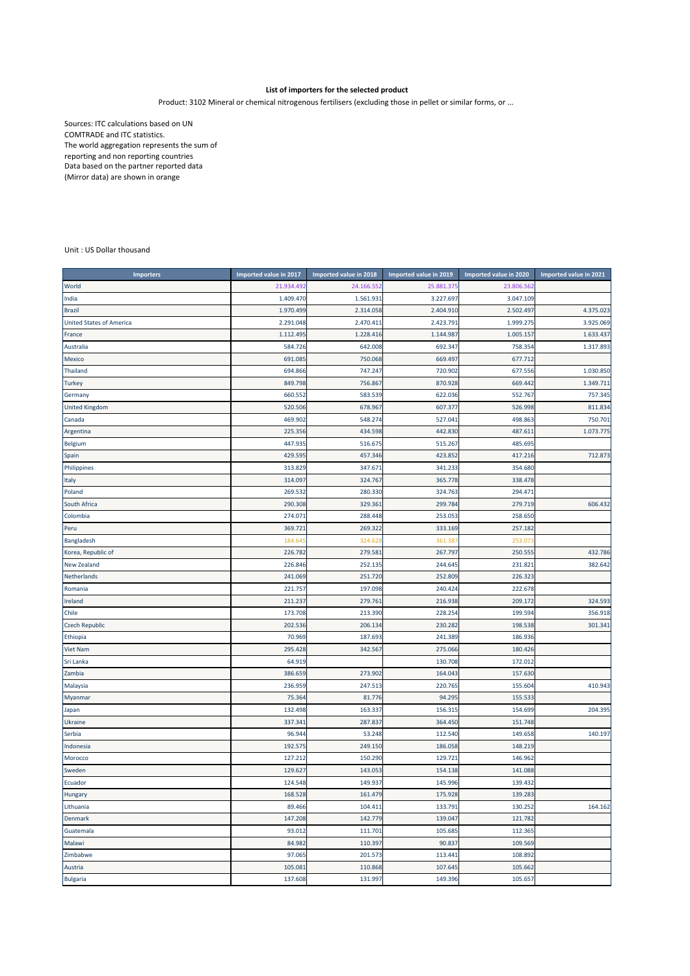## **List of importers for the selected product**

## Product: 3102 Mineral or chemical nitrogenous fertilisers (excluding those in pellet or similar forms, or ...

Sources: ITC calculations based on UN COMTRADE and ITC statistics. The world aggregation represents the sum of reporting and non reporting countries Data based on the partner reported data (Mirror data) are shown in orange

## Unit : US Dollar thousand

| <b>Importers</b>                | <b>Imported value in 2017</b> | Imported value in 2018 | Imported value in 2019 | Imported value in 2020 | Imported value in 2021 |
|---------------------------------|-------------------------------|------------------------|------------------------|------------------------|------------------------|
| World                           | 21.934.492                    | 24.166.55              | 25.881.375             | 23.806.56              |                        |
| India                           | 1.409.470                     | 1.561.931              | 3.227.697              | 3.047.109              |                        |
| <b>Brazil</b>                   | 1.970.499                     | 2.314.058              | 2.404.910              | 2.502.49               | 4.375.023              |
| <b>United States of America</b> | 2.291.048                     | 2.470.411              | 2.423.791              | 1.999.275              | 3.925.069              |
| France                          | 1.112.495                     | 1.228.416              | 1.144.987              | 1.005.15               | 1.633.437              |
| Australia                       | 584.726                       | 642.008                | 692.347                | 758.354                | 1.317.893              |
| Mexico                          | 691.085                       | 750.068                | 669.497                | 677.712                |                        |
| <b>Thailand</b>                 | 694.866                       | 747.247                | 720.902                | 677.556                | 1.030.850              |
| <b>Turkey</b>                   | 849.798                       | 756.867                | 870.928                | 669.442                | 1.349.711              |
| Germany                         | 660.552                       | 583.539                | 622.036                | 552.767                | 757.345                |
| <b>United Kingdom</b>           | 520.506                       | 678.967                | 607.377                | 526.998                | 811.834                |
| Canada                          | 469.902                       | 548.274                | 527.041                | 498.863                | 750.701                |
| Argentina                       | 225.356                       | 434.598                | 442.830                | 487.611                | 1.073.775              |
| <b>Belgium</b>                  | 447.935                       | 516.675                | 515.267                | 485.695                |                        |
| Spain                           | 429.595                       | 457.346                | 423.852                | 417.216                | 712.873                |
| Philippines                     | 313.829                       | 347.671                | 341.233                | 354.680                |                        |
| Italy                           | 314.097                       | 324.767                | 365.778                | 338.478                |                        |
| Poland                          | 269.532                       | 280.330                | 324.763                | 294.471                |                        |
| South Africa                    | 290.308                       | 329.361                | 299.784                | 279.719                | 606.432                |
| Colombia                        | 274.07                        | 288.448                | 253.053                | 258.650                |                        |
| Peru                            | 369.72                        | 269.322                | 333.169                | 257.182                |                        |
| Bangladesh                      | 184.64                        | 324.62                 | 361.38                 | 253.07                 |                        |
| Korea, Republic of              | 226.782                       | 279.581                | 267.797                | 250.555                | 432.786                |
| <b>New Zealand</b>              | 226.846                       | 252.135                | 244.645                | 231.82                 | 382.642                |
| Netherlands                     | 241.069                       | 251.720                | 252.809                | 226.323                |                        |
| Romania                         | 221.757                       | 197.098                | 240.424                | 222.678                |                        |
| Ireland                         | 211.237                       | 279.761                | 216.938                | 209.172                | 324.593                |
| Chile                           | 173.708                       | 213.390                | 228.254                | 199.594                | 356.918                |
| <b>Czech Republic</b>           | 202.536                       | 206.134                | 230.282                | 198.538                | 301.341                |
| Ethiopia                        | 70.969                        | 187.693                | 241.389                | 186.936                |                        |
| <b>Viet Nam</b>                 | 295.428                       | 342.567                | 275.066                | 180.426                |                        |
| Sri Lanka                       | 64.919                        |                        | 130.708                | 172.012                |                        |
| Zambia                          | 386.659                       | 273.90                 | 164.043                | 157.630                |                        |
| Malaysia                        | 236.959                       | 247.51                 | 220.765                | 155.604                | 410.943                |
| Myanmar                         | 75.364                        | 81.776                 | 94.295                 | 155.533                |                        |
| Japan                           | 132.498                       | 163.337                | 156.315                | 154.699                | 204.395                |
| Ukraine                         | 337.34                        | 287.837                | 364.450                | 151.748                |                        |
| Serbia                          | 96.944                        | 53.248                 | 112.540                | 149.658                | 140.197                |
| Indonesia                       | 192.575                       | 249.150                | 186.058                | 148.219                |                        |
| Morocco                         | 127.212                       | 150.290                | 129.721                | 146.962                |                        |
| Sweden                          | 129.627                       | 143.053                | 154.138                | 141.088                |                        |
| Ecuador                         | 124.548                       | 149.937                | 145.996                | 139.432                |                        |
| Hungary                         | 168.528                       | 161.479                | 175.928                | 139.283                |                        |
| Lithuania                       | 89.466                        | 104.411                | 133.791                | 130.252                | 164.162                |
| Denmark                         | 147.208                       | 142.779                | 139.047                | 121.782                |                        |
| Guatemala                       | 93.012                        | 111.701                | 105.685                | 112.365                |                        |
| Malawi                          | 84.982                        | 110.397                | 90.837                 | 109.569                |                        |
| Zimbabwe                        | 97.065                        | 201.573                | 113.441                | 108.892                |                        |
| Austria                         | 105.081                       | 110.868                | 107.645                | 105.662                |                        |
| <b>Bulgaria</b>                 | 137.608                       | 131.997                | 149.396                | 105.657                |                        |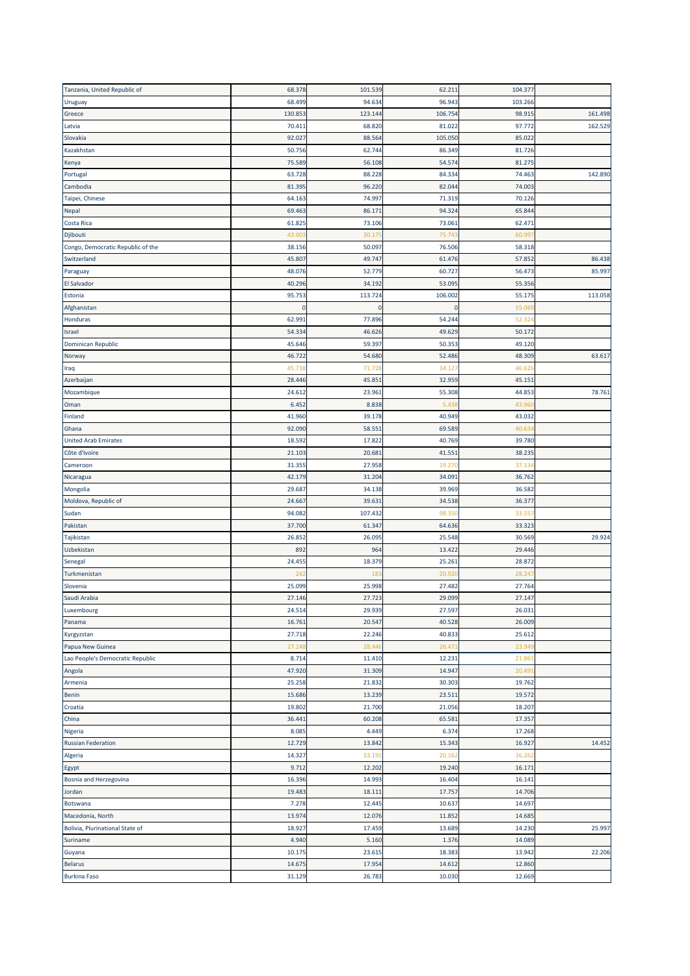| Tanzania, United Republic of      | 68.378          | 101.539          | 62.211           | 104.377          |         |
|-----------------------------------|-----------------|------------------|------------------|------------------|---------|
| Uruguay                           | 68.499          | 94.634           | 96.943           | 103.266          |         |
| Greece                            | 130.853         | 123.144          | 106.754          | 98.915           | 161.498 |
| Latvia                            | 70.411          | 68.820           | 81.022           | 97.77            | 162.529 |
| Slovakia                          | 92.027          | 88.564           | 105.050          | 85.022           |         |
| Kazakhstan                        | 50.756          | 62.744           | 86.349           | 81.726           |         |
| Kenya                             | 75.589          | 56.108           | 54.574           | 81.275           |         |
|                                   | 63.728          | 88.228           | 84.334           | 74.463           | 142.890 |
| Portugal                          |                 |                  |                  |                  |         |
| Cambodia                          | 81.395          | 96.220           | 82.044           | 74.003           |         |
| Taipei, Chinese                   | 64.163          | 74.997           | 71.319           | 70.126           |         |
| <b>Nepal</b>                      | 69.463          | 86.17            | 94.324           | 65.844           |         |
| Costa Rica                        | 61.825          | 73.106           | 73.061           | 62.471           |         |
| Djibouti                          | 43.00           | 30.17            | 75.74            | 60.99            |         |
| Congo, Democratic Republic of the | 38.156          | 50.097           | 76.506           | 58.318           |         |
| Switzerland                       | 45.807          | 49.747           | 61.476           | 57.852           | 86.438  |
| Paraguay                          | 48.076          | 52.779           | 60.727           | 56.473           | 85.997  |
| <b>El Salvador</b>                | 40.296          | 34.192           | 53.095           | 55.356           |         |
| Estonia                           | 95.753          | 113.724          | 106.002          | 55.17            | 113.058 |
| Afghanistan                       | $\Omega$        | $\mathbf 0$      | 0                | 55.06            |         |
| Honduras                          | 62.991          | 77.896           | 54.244           | 52.32            |         |
| Israel                            | 54.334          | 46.626           | 49.629           | 50.172           |         |
| Dominican Republic                | 45.646          | 59.397           | 50.353           | 49.120           |         |
| Norway                            | 46.722          | 54.680           | 52.486           | 48.309           | 63.617  |
|                                   | 45.73           | 71.72            | 34.127           | 46.62            |         |
| Iraq                              |                 |                  |                  |                  |         |
| Azerbaijan                        | 28.446          | 45.85            | 32.959           | 45.15:           |         |
| Mozambique                        | 24.612          | 23.96:           | 55.308           | 44.853           | 78.761  |
| Oman                              | 6.452           | 8.838            | 5.438            | 43.96            |         |
| Finland                           | 41.960          | 39.178           | 40.949           | 43.032           |         |
| Ghana                             | 92.090          | 58.55            | 69.589           | 40.63            |         |
| <b>United Arab Emirates</b>       | 18.592          | 17.822           | 40.769           | 39.780           |         |
| Côte d'Ivoire                     | 21.103          | 20.68            | 41.551           | 38.235           |         |
| Cameroon                          | 31.355          | 27.958           | 19.27            | 37.13            |         |
| Nicaragua                         | 42.179          | 31.204           | 34.09            | 36.762           |         |
| Mongolia                          | 29.687          | 34.138           | 39.969           | 36.582           |         |
| Moldova, Republic of              | 24.667          | 39.63            | 34.538           | 36.377           |         |
| Sudan                             | 94.082          | 107.432          | 98.35            | 33.55            |         |
| Pakistan                          | 37.700          | 61.347           | 64.636           | 33.323           |         |
| Tajikistan                        | 26.852          | 26.095           | 25.548           | 30.569           | 29.924  |
| Uzbekistan                        | 892             | 964              | 13.422           | 29.446           |         |
| Senegal                           | 24.455          | 18.379           | 25.261           | 28.872           |         |
|                                   |                 |                  |                  |                  |         |
| Turkmenistan                      | 24 <sub>2</sub> | 18               | 20.92            | 28.24            |         |
| Slovenia                          | 25.099          | 25.998           | 27.482           | 27.764           |         |
| Saudi Arabia                      | 27.146          | 27.723           | 29.099           | 27.147           |         |
| Luxembourg                        | 24.514          | 29.939           | 27.597           | 26.031           |         |
| Panama                            | 16.761          | 20.547           | 40.528           | 26.009           |         |
| Kyrgyzstan                        | 27.718          | 22.246           | 40.833           | 25.612           |         |
| Papua New Guinea                  | 27.248          | 28.44            | 26.47            | 23.94            |         |
| Lao People's Democratic Republic  | 8.714           | 11.410           | 12.231           | 21.86            |         |
| Angola                            | 47.920          | 31.309           | 14.947           | 20.49            |         |
| Armenia                           | 25.258          | 21.832           | 30.303           | 19.762           |         |
| Benin                             | 15.686          | 13.239           | 23.511           | 19.572           |         |
| Croatia                           | 19.802          | 21.700           | 21.056           | 18.207           |         |
| China                             | 36.441          | 60.208           | 65.581           | 17.357           |         |
| Nigeria                           | 8.085           | 4.449            | 6.374            | 17.268           |         |
| <b>Russian Federation</b>         | 12.729          | 13.842           | 15.343           | 16.927           | 14.452  |
| Algeria                           | 14.327          | 33.19            | 20.162           | 16.26            |         |
|                                   |                 |                  |                  |                  |         |
| Egypt                             | 9.712<br>16.396 | 12.202<br>14.993 | 19.240<br>16.404 | 16.171<br>16.141 |         |
| Bosnia and Herzegovina            |                 |                  |                  |                  |         |
| Jordan                            | 19.483          | 18.111           | 17.757           | 14.706           |         |
| Botswana                          | 7.278           | 12.445           | 10.637           | 14.697           |         |
| Macedonia, North                  | 13.974          | 12.076           | 11.852           | 14.685           |         |
| Bolivia, Plurinational State of   | 18.927          | 17.459           | 13.689           | 14.230           | 25.997  |
| Suriname                          | 4.940           | 5.160            | 1.376            | 14.089           |         |
| Guyana                            | 10.175          | 23.615           | 18.383           | 13.942           | 22.206  |
| <b>Belarus</b>                    | 14.675          | 17.954           | 14.612           | 12.860           |         |
| <b>Burkina Faso</b>               | 31.129          | 26.783           | 10.030           | 12.669           |         |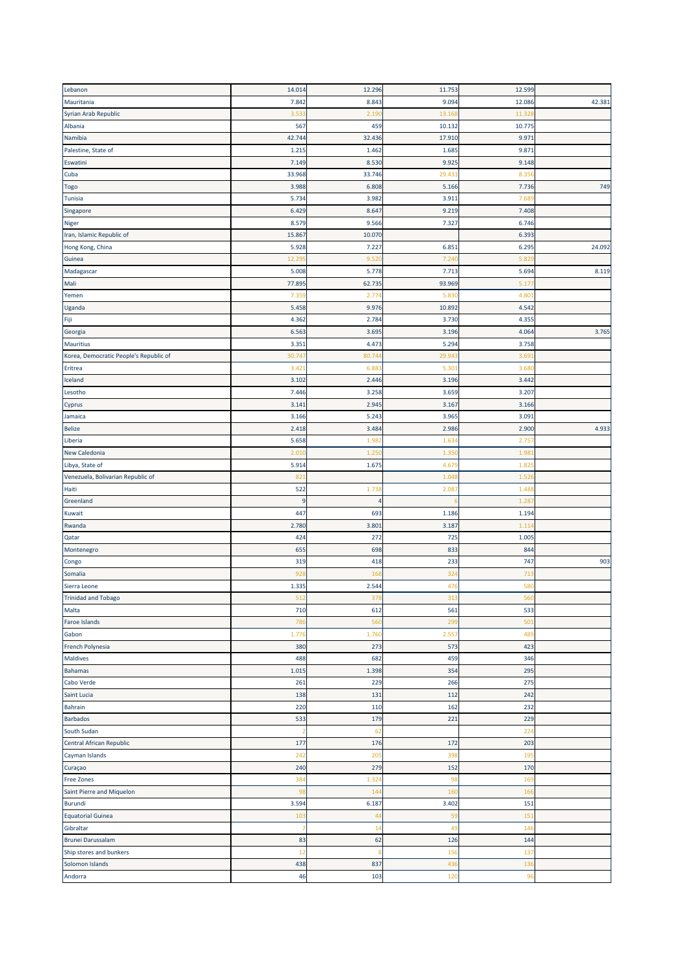| Lebanon                                                                       | 14.014         | 12.296 | 11.753 | 12.599 |        |
|-------------------------------------------------------------------------------|----------------|--------|--------|--------|--------|
| Mauritania                                                                    | 7.842          | 8.843  | 9.094  | 12.086 | 42.381 |
| Syrian Arab Republic                                                          | 3.53           | 2.19   | 13.16  | 11.32  |        |
| Albania                                                                       | 567            | 459    | 10.132 | 10.775 |        |
| Namibia                                                                       | 42.744         | 32.436 | 17.910 | 9.971  |        |
| Palestine, State of                                                           | 1.215          | 1.462  | 1.685  | 9.871  |        |
| Eswatini                                                                      | 7.149          |        |        |        |        |
|                                                                               |                | 8.530  | 9.925  | 9.148  |        |
| Cuba                                                                          | 33.968         | 33.746 | 29.433 | 8.356  |        |
| Togo                                                                          | 3.988          | 6.808  | 5.166  | 7.736  | 749    |
| Tunisia                                                                       | 5.734          | 3.982  | 3.911  | 7.68   |        |
| Singapore                                                                     | 6.429          | 8.647  | 9.219  | 7.408  |        |
| Niger                                                                         | 8.579          | 9.566  | 7.327  | 6.746  |        |
| Iran, Islamic Republic of                                                     | 15.867         | 10.070 |        | 6.393  |        |
| Hong Kong, China                                                              | 5.928          | 7.227  | 6.851  | 6.295  | 24.092 |
| Guinea                                                                        | 12.29          | 9.52(  | 7.24   | 5.82   |        |
| Madagascar                                                                    | 5.008          | 5.778  | 7.713  | 5.694  | 8.119  |
| Mali                                                                          | 77.895         | 62.735 | 93.969 | 5.17   |        |
| Yemen                                                                         | 7.35           | 2.77   | 5.83   | 4.80   |        |
| Uganda                                                                        | 5.458          | 9.976  | 10.892 | 4.542  |        |
| Fiji                                                                          | 4.362          | 2.784  | 3.730  | 4.355  |        |
| Georgia                                                                       | 6.563          | 3.695  | 3.196  | 4.064  | 3.765  |
| Mauritius                                                                     | 3.351          | 4.473  | 5.294  | 3.758  |        |
| Korea, Democratic People's Republic of                                        | 30.747         |        | 29.943 | 3.69   |        |
|                                                                               |                | 80.74  |        |        |        |
| Eritrea                                                                       | 3.421          | 6.88   | 5.301  | 3.680  |        |
| Iceland                                                                       | 3.102          | 2.446  | 3.196  | 3.442  |        |
| Lesotho                                                                       | 7.446          | 3.258  | 3.659  | 3.207  |        |
| Cyprus                                                                        | 3.141          | 2.945  | 3.167  | 3.166  |        |
| Jamaica                                                                       | 3.166          | 5.243  | 3.965  | 3.091  |        |
| Belize                                                                        | 2.418          | 3.484  | 2.986  | 2.900  | 4.933  |
| Liberia                                                                       | 5.658          | 1.98   | 1.634  | 2.75   |        |
| New Caledonia                                                                 | 2.01(          | 1.250  | 1.350  | 1.98   |        |
| Libya, State of                                                               | 5.914          | 1.675  | 4.67   | 1.82   |        |
| Venezuela, Bolivarian Republic of                                             | 821            |        | 1.04   | 1.52   |        |
| Haiti                                                                         |                |        |        |        |        |
|                                                                               | 522            | 1.73   | 2.08   | 1.48   |        |
| Greenland                                                                     | $\overline{9}$ | 4      |        | 1.28   |        |
| Kuwait                                                                        | 447            | 693    | 1.186  | 1.194  |        |
|                                                                               |                |        |        |        |        |
| Rwanda                                                                        | 2.780          | 3.801  | 3.187  | 1.11   |        |
| Qatar                                                                         | 424            | 272    | 725    | 1.005  |        |
| Montenegro                                                                    | 655            | 698    | 833    | 844    |        |
| Congo                                                                         | 319            | 418    | 233    | 747    | 903    |
| Somalia                                                                       | 928            | 16     | 324    | 713    |        |
| Sierra Leone                                                                  | 1.335          | 2.544  | 47     | 580    |        |
| <b>Trinidad and Tobago</b>                                                    | 512            | 378    | 313    | 560    |        |
| Malta                                                                         | 710            | 612    | 561    | 533    |        |
| Faroe Islands                                                                 | 786            | 560    | 299    | 501    |        |
| Gabon                                                                         | 1.776          | 1.760  | 2.557  | 489    |        |
| French Polynesia                                                              | 380            | 273    | 573    | 423    |        |
|                                                                               | 488            | 682    | 459    | 346    |        |
|                                                                               | 1.015          | 1.398  | 354    | 295    |        |
| Cabo Verde                                                                    | 261            | 229    | 266    | 275    |        |
| Saint Lucia                                                                   | 138            | 131    | 112    | 242    |        |
|                                                                               | 220            | 110    | 162    | 232    |        |
|                                                                               | 533            | 179    | 221    | 229    |        |
|                                                                               | -2             |        |        |        |        |
| South Sudan                                                                   |                | 62     |        | 224    |        |
| Maldives<br>Bahamas<br>Bahrain<br><b>Barbados</b><br>Central African Republic | 177            | 176    | 172    | 203    |        |
| Cayman Islands                                                                | 242            | 205    | 398    | 195    |        |
|                                                                               | 240            | 279    | 152    | 170    |        |
| Curaçao<br>Free Zones                                                         | 384            | 1.324  | 98     | 169    |        |
| Saint Pierre and Miquelon                                                     | 98             | 144    | 160    | 166    |        |
| <b>Burundi</b>                                                                | 3.594          | 6.187  | 3.402  | 151    |        |
| <b>Equatorial Guinea</b>                                                      | 103            | 44     | 59     | 151    |        |
| Gibraltar                                                                     | 7              | 14     | 49     | 146    |        |
| <b>Brunei Darussalam</b>                                                      | 83             | 62     | 126    | 144    |        |
| Ship stores and bunkers                                                       | 12             |        | 156    | 137    |        |
| Solomon Islands                                                               | 438            | 837    | 436    | 136    |        |